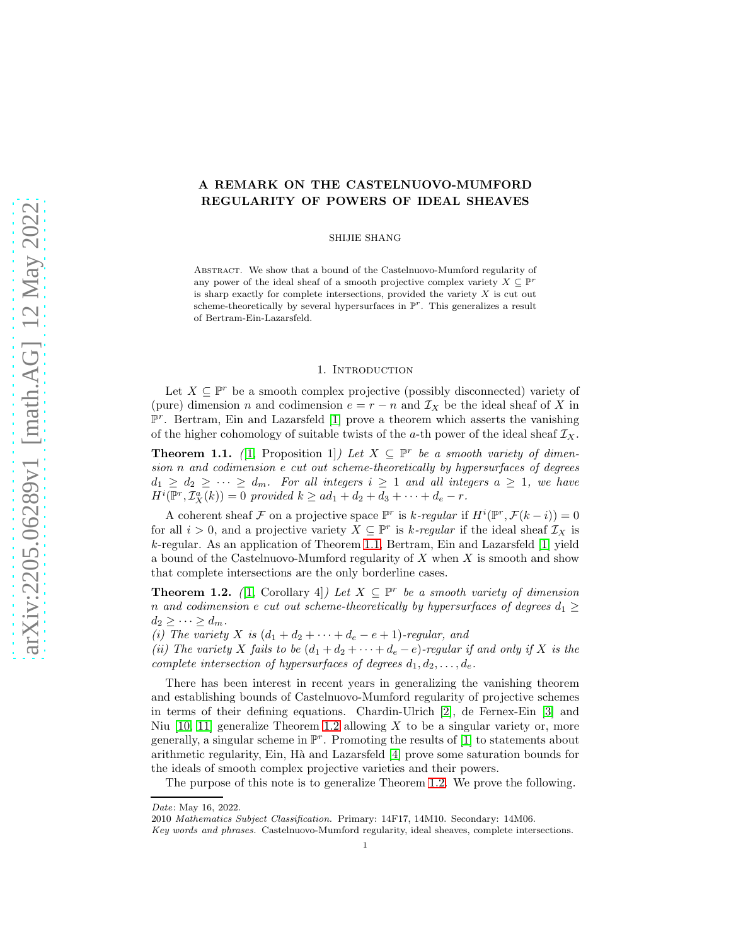# A REMARK ON THE CASTELNUOVO-MUMFORD REGULARITY OF POWERS OF IDEAL SHEAVES

SHIJIE SHANG

Abstract. We show that a bound of the Castelnuovo-Mumford regularity of any power of the ideal sheaf of a smooth projective complex variety  $X \subseteq \mathbb{P}^r$ is sharp exactly for complete intersections, provided the variety  $X$  is cut out scheme-theoretically by several hypersurfaces in  $\mathbb{P}^r$ . This generalizes a result of Bertram-Ein-Lazarsfeld.

### 1. INTRODUCTION

Let  $X \subseteq \mathbb{P}^r$  be a smooth complex projective (possibly disconnected) variety of (pure) dimension n and codimension  $e = r - n$  and  $\mathcal{I}_X$  be the ideal sheaf of X in  $\mathbb{P}^r$ . Bertram, Ein and Lazarsfeld [\[1\]](#page-6-0) prove a theorem which asserts the vanishing of the higher cohomology of suitable twists of the a-th power of the ideal sheaf  $\mathcal{I}_X$ .

<span id="page-0-0"></span>**Theorem 1.1.** ([\[1,](#page-6-0) Proposition 1]) Let  $X \subseteq \mathbb{P}^r$  be a smooth variety of dimension n and codimension e cut out scheme-theoretically by hypersurfaces of degrees  $d_1 \geq d_2 \geq \cdots \geq d_m$ . For all integers  $i \geq 1$  and all integers  $a \geq 1$ , we have  $H^i(\mathbb{P}^r, \mathcal{I}_X^a(k)) = 0$  provided  $k \geq ad_1 + d_2 + d_3 + \cdots + d_e - r$ .

A coherent sheaf F on a projective space  $\mathbb{P}^r$  is k-regular if  $H^i(\mathbb{P}^r, \mathcal{F}(k-i)) = 0$ for all  $i > 0$ , and a projective variety  $X \subseteq \mathbb{P}^r$  is k-regular if the ideal sheaf  $\mathcal{I}_X$  is k-regular. As an application of Theorem [1.1,](#page-0-0) Bertram, Ein and Lazarsfeld [\[1\]](#page-6-0) yield a bound of the Castelnuovo-Mumford regularity of  $X$  when  $X$  is smooth and show that complete intersections are the only borderline cases.

<span id="page-0-1"></span>**Theorem 1.2.** ([\[1,](#page-6-0) Corollary 4]) Let  $X \subseteq \mathbb{P}^r$  be a smooth variety of dimension n and codimension e cut out scheme-theoretically by hypersurfaces of degrees  $d_1 \geq$  $d_2 \geq \cdots \geq d_m$ .

(i) The variety X is  $(d_1 + d_2 + \cdots + d_e - e + 1)$ -regular, and

(ii) The variety X fails to be  $(d_1 + d_2 + \cdots + d_e - e)$ -regular if and only if X is the complete intersection of hypersurfaces of degrees  $d_1, d_2, \ldots, d_e$ .

There has been interest in recent years in generalizing the vanishing theorem and establishing bounds of Castelnuovo-Mumford regularity of projective schemes in terms of their defining equations. Chardin-Ulrich [\[2\]](#page-6-1), de Fernex-Ein [\[3\]](#page-6-2) and Niu  $[10, 11]$  $[10, 11]$  generalize Theorem [1.2](#page-0-1) allowing X to be a singular variety or, more generally, a singular scheme in  $\mathbb{P}^r$ . Promoting the results of [\[1\]](#page-6-0) to statements about arithmetic regularity, Ein, H`a and Lazarsfeld [\[4\]](#page-6-5) prove some saturation bounds for the ideals of smooth complex projective varieties and their powers.

The purpose of this note is to generalize Theorem [1.2.](#page-0-1) We prove the following.

Date: May 16, 2022.

<sup>2010</sup> Mathematics Subject Classification. Primary: 14F17, 14M10. Secondary: 14M06.

Key words and phrases. Castelnuovo-Mumford regularity, ideal sheaves, complete intersections.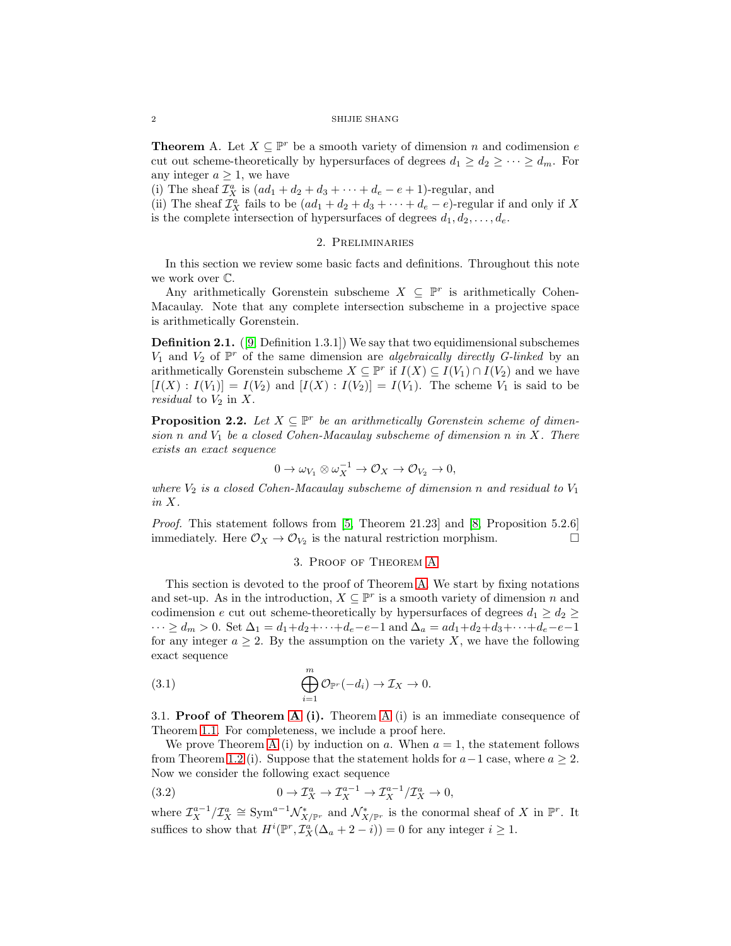<span id="page-1-0"></span>**Theorem** A. Let  $X \subseteq \mathbb{P}^r$  be a smooth variety of dimension n and codimension e cut out scheme-theoretically by hypersurfaces of degrees  $d_1 \geq d_2 \geq \cdots \geq d_m$ . For any integer  $a \geq 1$ , we have

(i) The sheaf  $\mathcal{I}_X^a$  is  $(ad_1 + d_2 + d_3 + \cdots + d_e - e + 1)$ -regular, and

(ii) The sheaf  $\mathcal{I}_X^a$  fails to be  $(ad_1 + d_2 + d_3 + \cdots + d_e - e)$ -regular if and only if X is the complete intersection of hypersurfaces of degrees  $d_1, d_2, \ldots, d_e$ .

## 2. Preliminaries

In this section we review some basic facts and definitions. Throughout this note we work over C.

Any arithmetically Gorenstein subscheme  $X \subseteq \mathbb{P}^r$  is arithmetically Cohen-Macaulay. Note that any complete intersection subscheme in a projective space is arithmetically Gorenstein.

Definition 2.1. ([\[9,](#page-6-6) Definition 1.3.1]) We say that two equidimensional subschemes  $V_1$  and  $V_2$  of  $\mathbb{P}^r$  of the same dimension are algebraically directly G-linked by an arithmetically Gorenstein subscheme  $X \subseteq \mathbb{P}^r$  if  $I(X) \subseteq I(V_1) \cap I(V_2)$  and we have  $[I(X) : I(V_1)] = I(V_2)$  and  $[I(X) : I(V_2)] = I(V_1)$ . The scheme  $V_1$  is said to be *residual* to  $V_2$  in  $X$ .

<span id="page-1-3"></span>**Proposition 2.2.** Let  $X \subseteq \mathbb{P}^r$  be an arithmetically Gorenstein scheme of dimension n and  $V_1$  be a closed Cohen-Macaulay subscheme of dimension n in X. There exists an exact sequence

$$
0 \to \omega_{V_1} \otimes \omega_X^{-1} \to \mathcal{O}_X \to \mathcal{O}_{V_2} \to 0,
$$

where  $V_2$  is a closed Cohen-Macaulay subscheme of dimension n and residual to  $V_1$ in X.

Proof. This statement follows from [\[5,](#page-6-7) Theorem 21.23] and [\[8,](#page-6-8) Proposition 5.2.6] immediately. Here  $\mathcal{O}_X \to \mathcal{O}_{V_2}$  is the natural restriction morphism.

## <span id="page-1-2"></span>3. Proof of Theorem [A](#page-1-0)

This section is devoted to the proof of Theorem [A.](#page-1-0) We start by fixing notations and set-up. As in the introduction,  $X \subseteq \mathbb{P}^r$  is a smooth variety of dimension n and codimension e cut out scheme-theoretically by hypersurfaces of degrees  $d_1 \geq d_2 \geq$  $\cdots \geq d_m > 0.$  Set  $\Delta_1 = d_1 + d_2 + \cdots + d_e - e - 1$  and  $\Delta_a = ad_1 + d_2 + d_3 + \cdots + d_e - e - 1$ for any integer  $a \geq 2$ . By the assumption on the variety X, we have the following exact sequence

(3.1) 
$$
\bigoplus_{i=1}^{m} \mathcal{O}_{\mathbb{P}^r}(-d_i) \to \mathcal{I}_X \to 0.
$$

3.1. **Proof of Theorem [A](#page-1-0) (i).** Theorem A (i) is an immediate consequence of Theorem [1.1.](#page-0-0) For completeness, we include a proof here.

We prove Theorem [A](#page-1-0) (i) by induction on a. When  $a = 1$ , the statement follows from Theorem [1.2](#page-0-1) (i). Suppose that the statement holds for  $a-1$  case, where  $a \geq 2$ . Now we consider the following exact sequence

<span id="page-1-1"></span>(3.2) 
$$
0 \to \mathcal{I}_X^a \to \mathcal{I}_X^{a-1} \to \mathcal{I}_X^{a-1}/\mathcal{I}_X^a \to 0,
$$

where  $\mathcal{I}_{X}^{a-1}/\mathcal{I}_{X}^{a} \cong \text{Sym}^{a-1}\mathcal{N}_{X/\mathbb{P}^{r}}^{*}$  and  $\mathcal{N}_{X/\mathbb{P}^{r}}^{*}$  is the conormal sheaf of X in  $\mathbb{P}^{r}$ . It suffices to show that  $H^i(\mathbb{P}^r, \mathcal{I}_X^a(\Delta_a + 2 - i)) = 0$  for any integer  $i \geq 1$ .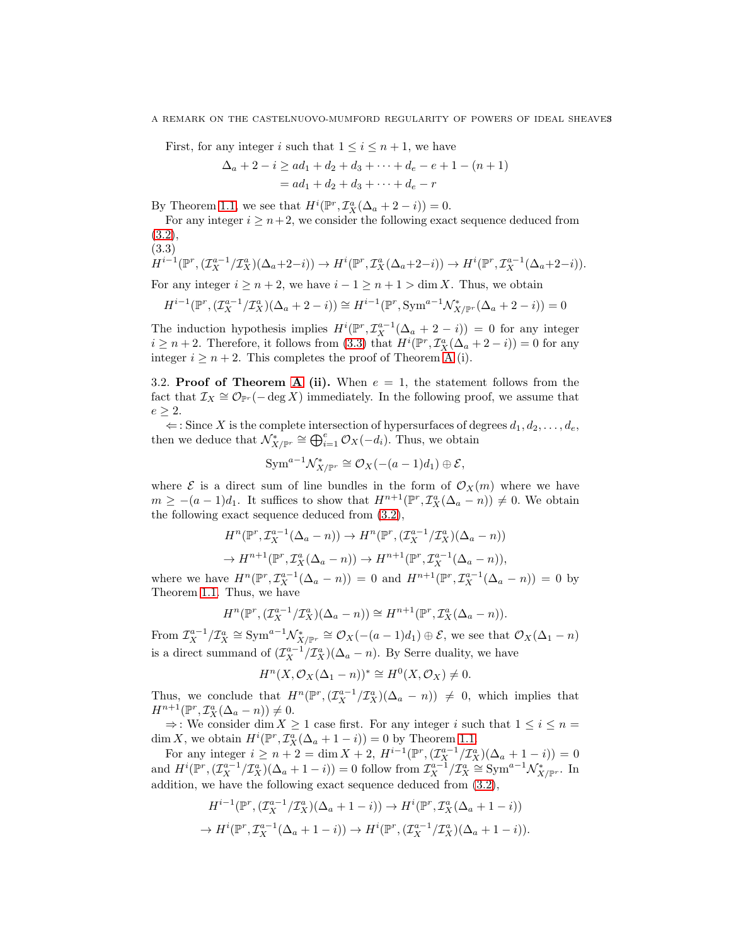#### A REMARK ON THE CASTELNUOVO-MUMFORD REGULARITY OF POWERS OF IDEAL SHEAVES

First, for any integer i such that  $1 \leq i \leq n+1$ , we have

$$
\Delta_a + 2 - i \ge ad_1 + d_2 + d_3 + \dots + d_e - e + 1 - (n + 1)
$$
  
=  $ad_1 + d_2 + d_3 + \dots + d_e - r$ 

By Theorem [1.1,](#page-0-0) we see that  $H^i(\mathbb{P}^r, \mathcal{I}_X^a(\Delta_a + 2 - i)) = 0$ .

For any integer  $i \geq n+2$ , we consider the following exact sequence deduced from [\(3.2\)](#page-1-1),

$$
(3.3)
$$

<span id="page-2-0"></span>
$$
H^{i-1}(\mathbb{P}^r, (\mathcal{I}_X^{a-1}/\mathcal{I}_X^a)(\Delta_a+2-i)) \to H^i(\mathbb{P}^r, \mathcal{I}_X^a(\Delta_a+2-i)) \to H^i(\mathbb{P}^r, \mathcal{I}_X^{a-1}(\Delta_a+2-i)).
$$

For any integer  $i \geq n+2$ , we have  $i-1 \geq n+1 > \dim X$ . Thus, we obtain

$$
H^{i-1}(\mathbb{P}^r, (\mathcal{I}_X^{a-1}/\mathcal{I}_X^a)(\Delta_a + 2 - i)) \cong H^{i-1}(\mathbb{P}^r, \text{Sym}^{a-1}\mathcal{N}_{X/\mathbb{P}^r}^*(\Delta_a + 2 - i)) = 0
$$

The induction hypothesis implies  $H^{i}(\mathbb{P}^r, \mathcal{I}_{X}^{a-1}(\Delta_a + 2 - i)) = 0$  for any integer  $i \geq n+2$ . Therefore, it follows from [\(3.3\)](#page-2-0) that  $H^{i}(\mathbb{P}^r, \mathcal{I}_X^a(\Delta_a + 2 - i)) = 0$  for any integer  $i \geq n+2$ . This completes the proof of Theorem [A](#page-1-0) (i).

3.2. **Proof of Theorem [A](#page-1-0) (ii).** When  $e = 1$ , the statement follows from the fact that  $\mathcal{I}_X \cong \mathcal{O}_{\mathbb{P}^r}(-\deg X)$  immediately. In the following proof, we assume that  $e \geq 2$ .

 $\Leftarrow$ : Since X is the complete intersection of hypersurfaces of degrees  $d_1, d_2, \ldots, d_e$ , then we deduce that  $\mathcal{N}_{X/\mathbb{P}^r}^* \cong \bigoplus_{i=1}^e \mathcal{O}_X(-d_i)$ . Thus, we obtain

$$
\text{Sym}^{a-1} \mathcal{N}_{X/\mathbb{P}^r}^* \cong \mathcal{O}_X(-(a-1)d_1) \oplus \mathcal{E},
$$

where  $\mathcal E$  is a direct sum of line bundles in the form of  $\mathcal O_X(m)$  where we have  $m \geq -(a-1)d_1$ . It suffices to show that  $H^{n+1}(\mathbb{P}^r, \mathcal{I}^a_X(\Delta_a - n)) \neq 0$ . We obtain the following exact sequence deduced from [\(3.2\)](#page-1-1),

$$
H^n(\mathbb{P}^r, \mathcal{I}_X^{a-1}(\Delta_a - n)) \to H^n(\mathbb{P}^r, (\mathcal{I}_X^{a-1}/\mathcal{I}_X^a)(\Delta_a - n))
$$
  

$$
\to H^{n+1}(\mathbb{P}^r, \mathcal{I}_X^a(\Delta_a - n)) \to H^{n+1}(\mathbb{P}^r, \mathcal{I}_X^{a-1}(\Delta_a - n)),
$$

where we have  $H^n(\mathbb{P}^r, \mathcal{I}_X^{a-1}(\Delta_a - n)) = 0$  and  $H^{n+1}(\mathbb{P}^r, \mathcal{I}_X^{a-1}(\Delta_a - n)) = 0$  by Theorem [1.1.](#page-0-0) Thus, we have

$$
H^{n}(\mathbb{P}^r, (\mathcal{I}_X^{a-1}/\mathcal{I}_X^a)(\Delta_a - n)) \cong H^{n+1}(\mathbb{P}^r, \mathcal{I}_X^a(\Delta_a - n)).
$$

From  $\mathcal{I}_X^{a-1}/\mathcal{I}_X^a \cong \text{Sym}^{a-1}\mathcal{N}_{X/\mathbb{P}^r}^* \cong \mathcal{O}_X(-(a-1)d_1) \oplus \mathcal{E}$ , we see that  $\mathcal{O}_X(\Delta_1 - n)$ is a direct summand of  $(\mathcal{I}_X^{a-1}/\mathcal{I}_X^a)(\Delta_a - n)$ . By Serre duality, we have

$$
H^{n}(X, \mathcal{O}_{X}(\Delta_{1} - n))^{*} \cong H^{0}(X, \mathcal{O}_{X}) \neq 0.
$$

Thus, we conclude that  $H^n(\mathbb{P}^r, (\mathcal{I}_X^{a-1}/\mathcal{I}_X^a)(\Delta_a - n)) \neq 0$ , which implies that  $H^{n+1}(\mathbb{P}^r, \mathcal{I}_X^a(\Delta_a - n)) \neq 0.$ 

 $\Rightarrow$ : We consider dim  $X \geq 1$  case first. For any integer i such that  $1 \leq i \leq n =$ dim X, we obtain  $H^i(\mathbb{P}^r, \mathcal{I}^a_X(\Delta_a + 1 - i)) = 0$  by Theorem [1.1.](#page-0-0)

For any integer  $i \ge n+2 = \dim X + 2$ ,  $H^{i-1}(\mathbb{P}^r, (\mathcal{I}_X^{a-1}/\mathcal{I}_X^a)(\Delta_a + 1 - i)) = 0$ and  $H^{i}(\mathbb{P}^r,(\mathcal{I}_X^{a-1}/\mathcal{I}_X^a)(\Delta_a+1-i))=0$  follow from  $\mathcal{I}_X^{a-1}/\mathcal{I}_X^a\cong \text{Sym}^{a-1}\mathcal{N}_{X/\mathbb{P}^r}^*$ . In addition, we have the following exact sequence deduced from [\(3.2\)](#page-1-1),

$$
H^{i-1}(\mathbb{P}^r, (\mathcal{I}_X^{a-1}/\mathcal{I}_X^a)(\Delta_a + 1 - i)) \to H^i(\mathbb{P}^r, \mathcal{I}_X^a(\Delta_a + 1 - i))
$$
  

$$
\to H^i(\mathbb{P}^r, \mathcal{I}_X^{a-1}(\Delta_a + 1 - i)) \to H^i(\mathbb{P}^r, (\mathcal{I}_X^{a-1}/\mathcal{I}_X^a)(\Delta_a + 1 - i)).
$$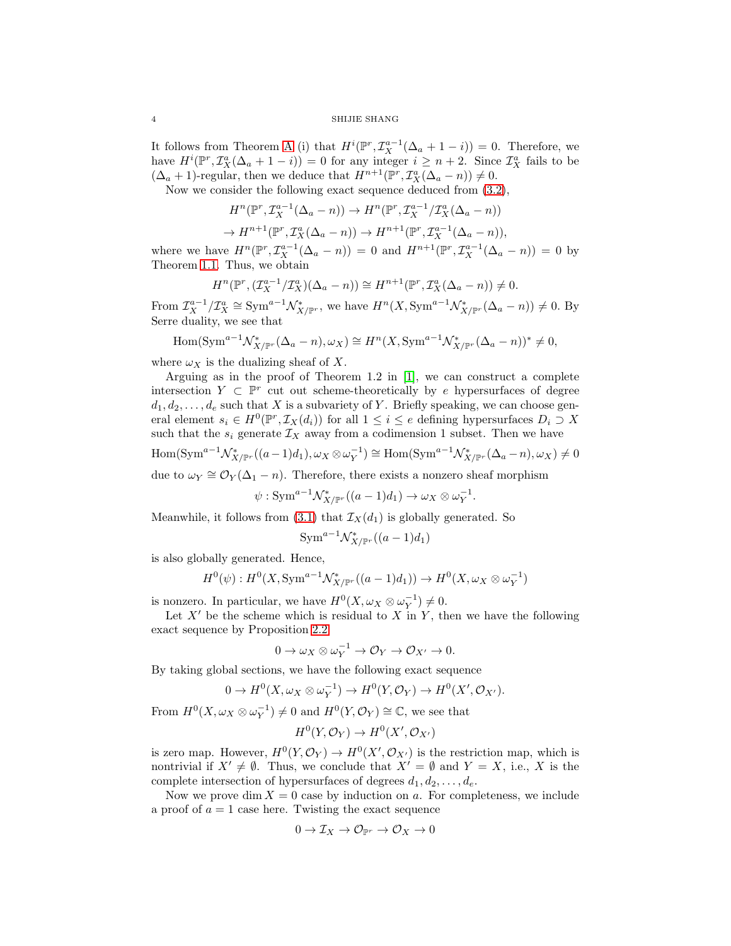### 4 SHIJIE SHANG

It follows from Theorem [A](#page-1-0) (i) that  $H^{i}(\mathbb{P}^r, \mathcal{I}_X^{a-1}(\Delta_a + 1 - i)) = 0$ . Therefore, we have  $H^i(\mathbb{P}^r, \mathcal{I}^a_X(\Delta_a + 1 - i)) = 0$  for any integer  $i \geq n + 2$ . Since  $\mathcal{I}^a_X$  fails to be  $(\Delta_a + 1)$ -regular, then we deduce that  $H^{n+1}(\mathbb{P}^r, \mathcal{I}_X^a(\Delta_a - n)) \neq 0$ .

Now we consider the following exact sequence deduced from [\(3.2\)](#page-1-1),

$$
H^n(\mathbb{P}^r, \mathcal{I}_X^{a-1}(\Delta_a - n)) \to H^n(\mathbb{P}^r, \mathcal{I}_X^{a-1}/\mathcal{I}_X^a(\Delta_a - n))
$$
  

$$
\to H^{n+1}(\mathbb{P}^r, \mathcal{I}_X^a(\Delta_a - n)) \to H^{n+1}(\mathbb{P}^r, \mathcal{I}_X^{a-1}(\Delta_a - n)),
$$

where we have  $H^n(\mathbb{P}^r, \mathcal{I}_X^{a-1}(\Delta_a - n)) = 0$  and  $H^{n+1}(\mathbb{P}^r, \mathcal{I}_X^{a-1}(\Delta_a - n)) = 0$  by Theorem [1.1.](#page-0-0) Thus, we obtain

$$
H^n(\mathbb{P}^r, (\mathcal{I}_X^{a-1}/\mathcal{I}_X^a)(\Delta_a - n)) \cong H^{n+1}(\mathbb{P}^r, \mathcal{I}_X^a(\Delta_a - n)) \neq 0.
$$

From  $\mathcal{I}_X^{a-1}/\mathcal{I}_X^a \cong \text{Sym}^{a-1}\mathcal{N}_{X/\mathbb{P}^r}^*$ , we have  $H^n(X, \text{Sym}^{a-1}\mathcal{N}_{X/\mathbb{P}^r}^*(\Delta_a - n)) \neq 0$ . By Serre duality, we see that

$$
\mathrm{Hom}(\mathrm{Sym}^{a-1}\mathcal{N}_{X/\mathbb{P}^r}^*(\Delta_a - n), \omega_X) \cong H^n(X, \mathrm{Sym}^{a-1}\mathcal{N}_{X/\mathbb{P}^r}^*(\Delta_a - n))^* \neq 0,
$$

where  $\omega_X$  is the dualizing sheaf of X.

Arguing as in the proof of Theorem 1.2 in [\[1\]](#page-6-0), we can construct a complete intersection  $Y \subset \mathbb{P}^r$  cut out scheme-theoretically by e hypersurfaces of degree  $d_1, d_2, \ldots, d_e$  such that X is a subvariety of Y. Briefly speaking, we can choose general element  $s_i \in H^0(\mathbb{P}^r, \mathcal{I}_X(d_i))$  for all  $1 \leq i \leq e$  defining hypersurfaces  $D_i \supset X$ such that the  $s_i$  generate  $\mathcal{I}_X$  away from a codimension 1 subset. Then we have

$$
\operatorname{Hom}(\operatorname{Sym}^{a-1}\mathcal{N}_{X/\mathbb{P}^r}^*((a-1)d_1),\omega_X\otimes\omega_Y^{-1})\cong\operatorname{Hom}(\operatorname{Sym}^{a-1}\mathcal{N}_{X/\mathbb{P}^r}^*(\Delta_a-n),\omega_X)\neq 0
$$

due to  $\omega_Y \cong \mathcal{O}_Y(\Delta_1 - n)$ . Therefore, there exists a nonzero sheaf morphism

$$
\psi: \operatorname{Sym}^{a-1} \mathcal{N}^*_{X/\mathbb{P}^r}((a-1)d_1) \to \omega_X \otimes \omega_Y^{-1}.
$$

Meanwhile, it follows from [\(3.1\)](#page-1-2) that  $\mathcal{I}_X(d_1)$  is globally generated. So

$$
\operatorname{Sym}^{a-1} \mathcal{N}_{X/\mathbb{P}^r}^*((a-1)d_1)
$$

is also globally generated. Hence,

$$
H^0(\psi): H^0(X, \text{Sym}^{a-1}\mathcal{N}^*_{X/\mathbb{P}^r}((a-1)d_1)) \to H^0(X, \omega_X \otimes \omega_Y^{-1})
$$

is nonzero. In particular, we have  $H^0(X, \omega_X \otimes \omega_Y^{-1}) \neq 0$ .

Let  $X'$  be the scheme which is residual to  $X$  in  $Y$ , then we have the following exact sequence by Proposition [2.2](#page-1-3)

$$
0\to \omega_X\otimes \omega_Y^{-1}\to \mathcal O_Y\to \mathcal O_{X'}\to 0.
$$

By taking global sections, we have the following exact sequence

$$
0 \to H^0(X, \omega_X \otimes \omega_Y^{-1}) \to H^0(Y, \mathcal{O}_Y) \to H^0(X', \mathcal{O}_{X'}).
$$

From  $H^0(X, \omega_X \otimes \omega_Y^{-1}) \neq 0$  and  $H^0(Y, \mathcal{O}_Y) \cong \mathbb{C}$ , we see that

$$
H^0(Y, \mathcal{O}_Y) \to H^0(X', \mathcal{O}_{X'})
$$

is zero map. However,  $H^0(Y, \mathcal{O}_Y) \to H^0(X', \mathcal{O}_{X'})$  is the restriction map, which is nontrivial if  $X' \neq \emptyset$ . Thus, we conclude that  $X' = \emptyset$  and  $Y = X$ , i.e., X is the complete intersection of hypersurfaces of degrees  $d_1, d_2, \ldots, d_e$ .

Now we prove dim  $X = 0$  case by induction on a. For completeness, we include a proof of  $a = 1$  case here. Twisting the exact sequence

$$
0 \to \mathcal{I}_X \to \mathcal{O}_{\mathbb{P}^r} \to \mathcal{O}_X \to 0
$$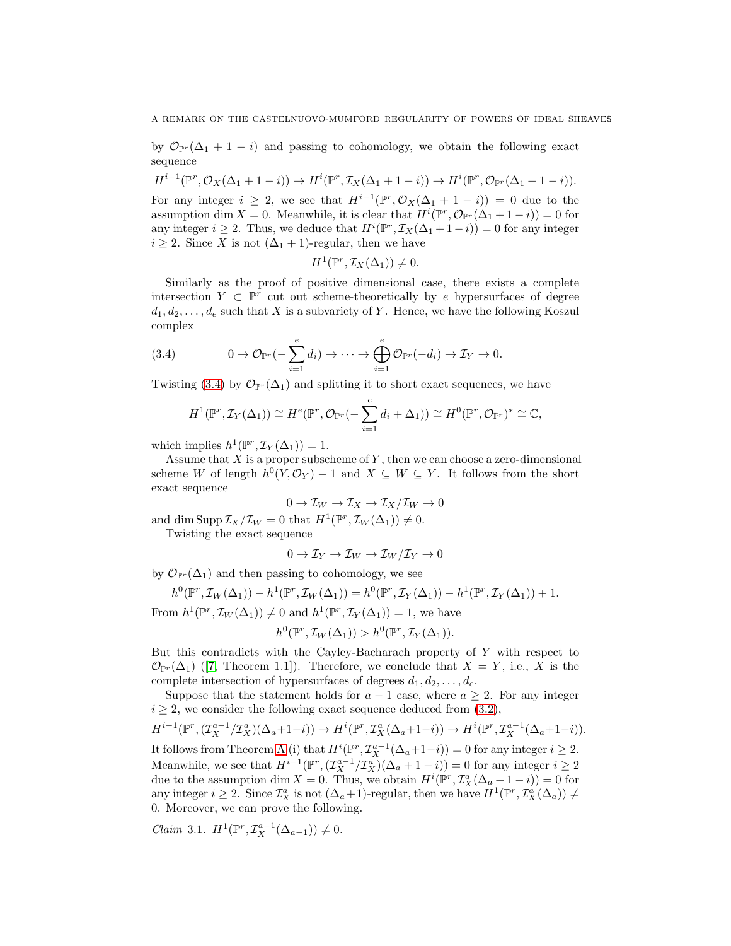by  $\mathcal{O}_{\mathbb{P}^r}(\Delta_1 + 1 - i)$  and passing to cohomology, we obtain the following exact sequence

 $H^{i-1}(\mathbb{P}^r, \mathcal{O}_X(\Delta_1 + 1 - i)) \to H^i(\mathbb{P}^r, \mathcal{I}_X(\Delta_1 + 1 - i)) \to H^i(\mathbb{P}^r, \mathcal{O}_{\mathbb{P}^r}(\Delta_1 + 1 - i)).$ For any integer  $i \geq 2$ , we see that  $H^{i-1}(\mathbb{P}^r, \mathcal{O}_X(\Delta_1 + 1 - i)) = 0$  due to the assumption dim X = 0. Meanwhile, it is clear that  $H^i(\mathbb{P}^r, \mathcal{O}_{\mathbb{P}^r}(\Delta_1 + 1 - i)) = 0$  for any integer  $i \geq 2$ . Thus, we deduce that  $H^i(\mathbb{P}^r, \mathcal{I}_X(\Delta_1 + 1 - i)) = 0$  for any integer  $i \geq 2$ . Since X is not  $(\Delta_1 + 1)$ -regular, then we have

$$
H^1(\mathbb{P}^r, \mathcal{I}_X(\Delta_1)) \neq 0.
$$

Similarly as the proof of positive dimensional case, there exists a complete intersection  $Y \subset \mathbb{P}^r$  cut out scheme-theoretically by e hypersurfaces of degree  $d_1, d_2, \ldots, d_e$  such that X is a subvariety of Y. Hence, we have the following Koszul complex

(3.4) 
$$
0 \to \mathcal{O}_{\mathbb{P}^r}(-\sum_{i=1}^e d_i) \to \cdots \to \bigoplus_{i=1}^e \mathcal{O}_{\mathbb{P}^r}(-d_i) \to \mathcal{I}_Y \to 0.
$$

Twisting [\(3.4\)](#page-4-0) by  $\mathcal{O}_{\mathbb{P}^r}(\Delta_1)$  and splitting it to short exact sequences, we have

<span id="page-4-0"></span>
$$
H^1(\mathbb{P}^r, \mathcal{I}_Y(\Delta_1)) \cong H^e(\mathbb{P}^r, \mathcal{O}_{\mathbb{P}^r}(-\sum_{i=1}^e d_i + \Delta_1)) \cong H^0(\mathbb{P}^r, \mathcal{O}_{\mathbb{P}^r})^* \cong \mathbb{C},
$$

which implies  $h^1(\mathbb{P}^r, \mathcal{I}_Y(\Delta_1)) = 1$ .

Assume that  $X$  is a proper subscheme of  $Y$ , then we can choose a zero-dimensional scheme W of length  $h^0(Y, \mathcal{O}_Y) - 1$  and  $X \subseteq W \subseteq Y$ . It follows from the short exact sequence

$$
0 \to \mathcal{I}_W \to \mathcal{I}_X \to \mathcal{I}_X/\mathcal{I}_W \to 0
$$

and dim Supp  $\mathcal{I}_X/\mathcal{I}_W = 0$  that  $H^1(\mathbb{P}^r, \mathcal{I}_W(\Delta_1)) \neq 0$ .

Twisting the exact sequence

$$
0 \to \mathcal{I}_Y \to \mathcal{I}_W \to \mathcal{I}_W/\mathcal{I}_Y \to 0
$$

by  $\mathcal{O}_{\mathbb{P}^r}(\Delta_1)$  and then passing to cohomology, we see

$$
h^{0}(\mathbb{P}^{r}, \mathcal{I}_{W}(\Delta_{1})) - h^{1}(\mathbb{P}^{r}, \mathcal{I}_{W}(\Delta_{1})) = h^{0}(\mathbb{P}^{r}, \mathcal{I}_{Y}(\Delta_{1})) - h^{1}(\mathbb{P}^{r}, \mathcal{I}_{Y}(\Delta_{1})) + 1.
$$

From  $h^1(\mathbb{P}^r, \mathcal{I}_W(\Delta_1)) \neq 0$  and  $h^1(\mathbb{P}^r, \mathcal{I}_Y(\Delta_1)) = 1$ , we have

$$
h^{0}(\mathbb{P}^{r}, \mathcal{I}_{W}(\Delta_{1})) > h^{0}(\mathbb{P}^{r}, \mathcal{I}_{Y}(\Delta_{1})).
$$

But this contradicts with the Cayley-Bacharach property of Y with respect to  $\mathcal{O}_{\mathbb{P}^r}(\Delta_1)$  ([\[7,](#page-6-9) Theorem 1.1]). Therefore, we conclude that  $X = Y$ , i.e., X is the complete intersection of hypersurfaces of degrees  $d_1, d_2, \ldots, d_e$ .

Suppose that the statement holds for  $a - 1$  case, where  $a \geq 2$ . For any integer  $i \geq 2$ , we consider the following exact sequence deduced from  $(3.2)$ ,

$$
H^{i-1}(\mathbb{P}^r, (\mathcal{I}_X^{a-1}/\mathcal{I}_X^a)(\Delta_a+1-i)) \to H^i(\mathbb{P}^r, \mathcal{I}_X^a(\Delta_a+1-i)) \to H^i(\mathbb{P}^r, \mathcal{I}_X^{a-1}(\Delta_a+1-i)).
$$

It follows from Theorem [A](#page-1-0) (i) that  $H^{i}(\mathbb{P}^r, \mathcal{I}_X^{a-1}(\Delta_a+1-i)) = 0$  for any integer  $i \geq 2$ . Meanwhile, we see that  $H^{i-1}(\mathbb{P}^r, (\mathcal{I}_X^{a-1}/\mathcal{I}_X^{a})(\Delta_a+1-i)) = 0$  for any integer  $i \geq 2$ due to the assumption dim  $X = 0$ . Thus, we obtain  $H^{i}(\mathbb{P}^r, \mathcal{I}_X^a(\Delta_a + 1 - i)) = 0$  for any integer  $i \geq 2$ . Since  $\mathcal{I}_{X}^{a}$  is not  $(\Delta_{a}+1)$ -regular, then we have  $H^{1}(\mathbb{P}^{r}, \mathcal{I}_{X}^{a}(\Delta_{a})) \neq$ 0. Moreover, we can prove the following.

<span id="page-4-1"></span>*Claim* 3.1.  $H^1(\mathbb{P}^r, \mathcal{I}_X^{a-1}(\Delta_{a-1})) \neq 0.$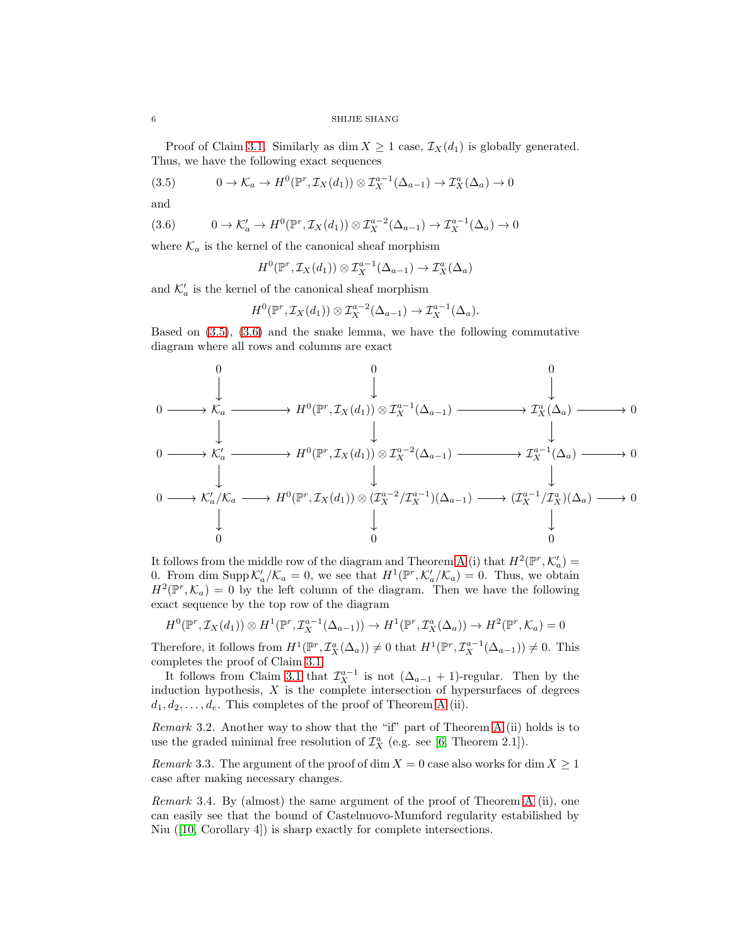SHIJIE SHANG

Proof of Claim [3.1.](#page-4-1) Similarly as dim  $X \geq 1$  case,  $\mathcal{I}_X(d_1)$  is globally generated. Thus, we have the following exact sequences

<span id="page-5-0"></span>(3.5) 
$$
0 \to \mathcal{K}_a \to H^0(\mathbb{P}^r, \mathcal{I}_X(d_1)) \otimes \mathcal{I}_X^{a-1}(\Delta_{a-1}) \to \mathcal{I}_X^a(\Delta_a) \to 0
$$

and

<span id="page-5-1"></span>
$$
(3.6) \t 0 \to \mathcal{K}'_a \to H^0(\mathbb{P}^r, \mathcal{I}_X(d_1)) \otimes \mathcal{I}_X^{a-2}(\Delta_{a-1}) \to \mathcal{I}_X^{a-1}(\Delta_a) \to 0
$$

where  $\mathcal{K}_a$  is the kernel of the canonical sheaf morphism

$$
H^0(\mathbb{P}^r, \mathcal{I}_X(d_1)) \otimes \mathcal{I}_X^{a-1}(\Delta_{a-1}) \to \mathcal{I}_X^a(\Delta_a)
$$

and  $\mathcal{K}'_a$  is the kernel of the canonical sheaf morphism

$$
H^0(\mathbb{P}^r, \mathcal{I}_X(d_1)) \otimes \mathcal{I}_X^{a-2}(\Delta_{a-1}) \to \mathcal{I}_X^{a-1}(\Delta_a).
$$

Based on [\(3.5\)](#page-5-0), [\(3.6\)](#page-5-1) and the snake lemma, we have the following commutative diagram where all rows and columns are exact

0 0 0 0 K<sup>a</sup> H<sup>0</sup> (P r , <sup>I</sup>X(d1)) ⊗ I<sup>a</sup>−<sup>1</sup> <sup>X</sup> (∆a−1) I a <sup>X</sup> (∆a) 0 0 K′ <sup>a</sup> H<sup>0</sup> (P r , <sup>I</sup>X(d1)) ⊗ I<sup>a</sup>−<sup>2</sup> <sup>X</sup> (∆a−1) I a−1 <sup>X</sup> (∆a) 0 0 K′ a /K<sup>a</sup> H<sup>0</sup> (P r , IX(d1)) ⊗ (I a−2 <sup>X</sup> /I a−1 <sup>X</sup> )(∆a−1) (I a−1 <sup>X</sup> /I a <sup>X</sup>)(∆a) 0 0 0 0

It follows from the middle row of the diagram and Theorem [A](#page-1-0) (i) that  $H^2(\mathbb{P}^r, \mathcal{K}_a)$  = 0. From dim Supp  $\mathcal{K}'_a/\mathcal{K}_a = 0$ , we see that  $H^1(\mathbb{P}^r, \mathcal{K}'_a/\mathcal{K}_a) = 0$ . Thus, we obtain  $H^2(\mathbb{P}^r,\mathcal{K}_a)=0$  by the left column of the diagram. Then we have the following exact sequence by the top row of the diagram

$$
H^0(\mathbb{P}^r, \mathcal{I}_X(d_1)) \otimes H^1(\mathbb{P}^r, \mathcal{I}_X^{a-1}(\Delta_{a-1})) \to H^1(\mathbb{P}^r, \mathcal{I}_X^a(\Delta_a)) \to H^2(\mathbb{P}^r, \mathcal{K}_a) = 0
$$

Therefore, it follows from  $H^1(\mathbb{P}^r, \mathcal{I}_X^a(\Delta_a)) \neq 0$  that  $H^1(\mathbb{P}^r, \mathcal{I}_X^{a-1}(\Delta_{a-1})) \neq 0$ . This completes the proof of Claim [3.1.](#page-4-1)

It follows from Claim [3.1](#page-4-1) that  $\mathcal{I}_X^{a-1}$  is not  $(\Delta_{a-1} + 1)$ -regular. Then by the induction hypothesis,  $X$  is the complete intersection of hypersurfaces of degrees  $d_1, d_2, \ldots, d_e$ . This completes of the proof of Theorem [A](#page-1-0) (ii).

Remark 3.2. Another way to show that the "if" part of Theorem [A](#page-1-0) (ii) holds is to use the graded minimal free resolution of  $\mathcal{I}_{X}^{a}$  (e.g. see [\[6,](#page-6-10) Theorem 2.1]).

Remark 3.3. The argument of the proof of dim  $X = 0$  case also works for dim  $X \ge 1$ case after making necessary changes.

Remark 3.4. By (almost) the same argument of the proof of Theorem [A](#page-1-0) (ii), one can easily see that the bound of Castelnuovo-Mumford regularity estabilished by Niu ([\[10,](#page-6-3) Corollary 4]) is sharp exactly for complete intersections.

$$
6\quad
$$